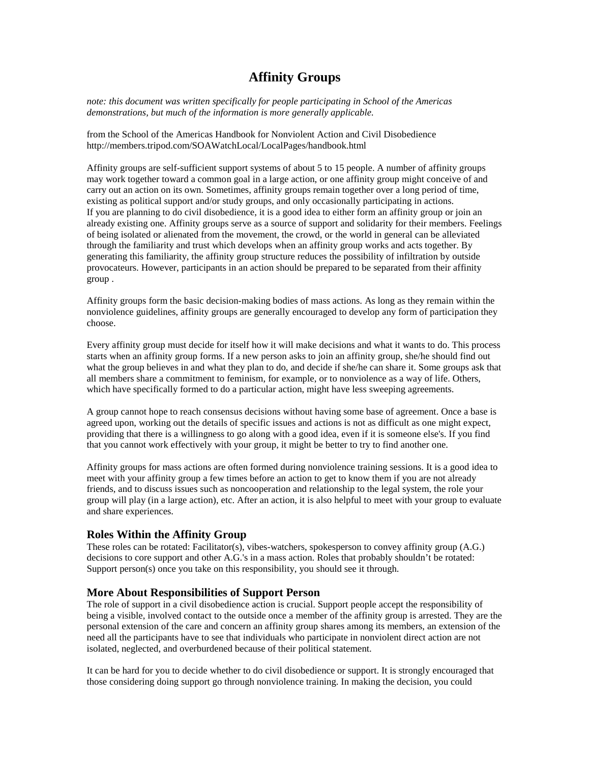# **Affinity Groups**

*note: this document was written specifically for people participating in School of the Americas demonstrations, but much of the information is more generally applicable.* 

from the School of the Americas Handbook for Nonviolent Action and Civil Disobedience http://members.tripod.com/SOAWatchLocal/LocalPages/handbook.html

Affinity groups are self-sufficient support systems of about 5 to 15 people. A number of affinity groups may work together toward a common goal in a large action, or one affinity group might conceive of and carry out an action on its own. Sometimes, affinity groups remain together over a long period of time, existing as political support and/or study groups, and only occasionally participating in actions. If you are planning to do civil disobedience, it is a good idea to either form an affinity group or join an already existing one. Affinity groups serve as a source of support and solidarity for their members. Feelings of being isolated or alienated from the movement, the crowd, or the world in general can be alleviated through the familiarity and trust which develops when an affinity group works and acts together. By generating this familiarity, the affinity group structure reduces the possibility of infiltration by outside provocateurs. However, participants in an action should be prepared to be separated from their affinity group .

Affinity groups form the basic decision-making bodies of mass actions. As long as they remain within the nonviolence guidelines, affinity groups are generally encouraged to develop any form of participation they choose.

Every affinity group must decide for itself how it will make decisions and what it wants to do. This process starts when an affinity group forms. If a new person asks to join an affinity group, she/he should find out what the group believes in and what they plan to do, and decide if she/he can share it. Some groups ask that all members share a commitment to feminism, for example, or to nonviolence as a way of life. Others, which have specifically formed to do a particular action, might have less sweeping agreements.

A group cannot hope to reach consensus decisions without having some base of agreement. Once a base is agreed upon, working out the details of specific issues and actions is not as difficult as one might expect, providing that there is a willingness to go along with a good idea, even if it is someone else's. If you find that you cannot work effectively with your group, it might be better to try to find another one.

Affinity groups for mass actions are often formed during nonviolence training sessions. It is a good idea to meet with your affinity group a few times before an action to get to know them if you are not already friends, and to discuss issues such as noncooperation and relationship to the legal system, the role your group will play (in a large action), etc. After an action, it is also helpful to meet with your group to evaluate and share experiences.

## **Roles Within the Affinity Group**

These roles can be rotated: Facilitator(s), vibes-watchers, spokesperson to convey affinity group (A.G.) decisions to core support and other A.G.'s in a mass action. Roles that probably shouldn't be rotated: Support person(s) once you take on this responsibility, you should see it through.

#### **More About Responsibilities of Support Person**

The role of support in a civil disobedience action is crucial. Support people accept the responsibility of being a visible, involved contact to the outside once a member of the affinity group is arrested. They are the personal extension of the care and concern an affinity group shares among its members, an extension of the need all the participants have to see that individuals who participate in nonviolent direct action are not isolated, neglected, and overburdened because of their political statement.

It can be hard for you to decide whether to do civil disobedience or support. It is strongly encouraged that those considering doing support go through nonviolence training. In making the decision, you could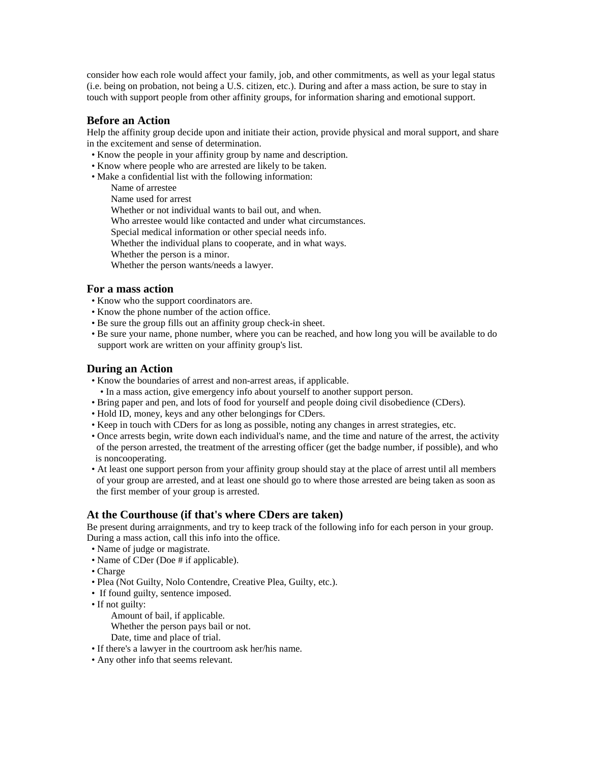consider how each role would affect your family, job, and other commitments, as well as your legal status (i.e. being on probation, not being a U.S. citizen, etc.). During and after a mass action, be sure to stay in touch with support people from other affinity groups, for information sharing and emotional support.

## **Before an Action**

Help the affinity group decide upon and initiate their action, provide physical and moral support, and share in the excitement and sense of determination.

- Know the people in your affinity group by name and description.
- Know where people who are arrested are likely to be taken.
- Make a confidential list with the following information:
	- Name of arrestee

Name used for arrest

Whether or not individual wants to bail out, and when.

Who arrestee would like contacted and under what circumstances.

Special medical information or other special needs info.

Whether the individual plans to cooperate, and in what ways.

Whether the person is a minor.

Whether the person wants/needs a lawyer.

#### **For a mass action**

- Know who the support coordinators are.
- Know the phone number of the action office.
- Be sure the group fills out an affinity group check-in sheet.
- Be sure your name, phone number, where you can be reached, and how long you will be available to do support work are written on your affinity group's list.

#### **During an Action**

- Know the boundaries of arrest and non-arrest areas, if applicable.
- In a mass action, give emergency info about yourself to another support person.
- Bring paper and pen, and lots of food for yourself and people doing civil disobedience (CDers).
- Hold ID, money, keys and any other belongings for CDers.
- Keep in touch with CDers for as long as possible, noting any changes in arrest strategies, etc.
- Once arrests begin, write down each individual's name, and the time and nature of the arrest, the activity of the person arrested, the treatment of the arresting officer (get the badge number, if possible), and who is noncooperating.
- At least one support person from your affinity group should stay at the place of arrest until all members of your group are arrested, and at least one should go to where those arrested are being taken as soon as the first member of your group is arrested.

## **At the Courthouse (if that's where CDers are taken)**

Be present during arraignments, and try to keep track of the following info for each person in your group. During a mass action, call this info into the office.

- Name of judge or magistrate.
- Name of CDer (Doe # if applicable).
- Charge
- Plea (Not Guilty, Nolo Contendre, Creative Plea, Guilty, etc.).
- If found guilty, sentence imposed.
- If not guilty:

Amount of bail, if applicable.

Whether the person pays bail or not.

- Date, time and place of trial.
- If there's a lawyer in the courtroom ask her/his name.
- Any other info that seems relevant.